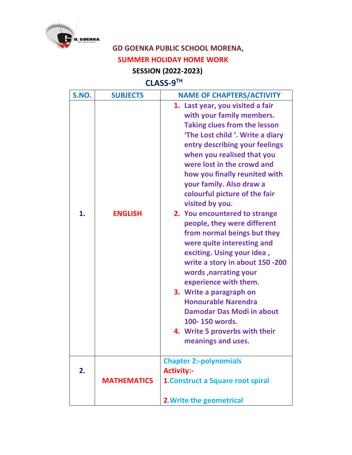

## **GD GOENKA PUBLIC SCHOOL MORENA, SUMMER HOLIDAY HOME WORK**

## **SESSION (2022-2023)**

## **CLASS-9 TH**

| S.NO. | <b>SUBJECTS</b>    | <b>NAME OF CHAPTERS/ACTIVITY</b>                                                                                                                                                                                                                                                                                                                                                                                                                                                                                                                                                                                                                                                                                                                                               |
|-------|--------------------|--------------------------------------------------------------------------------------------------------------------------------------------------------------------------------------------------------------------------------------------------------------------------------------------------------------------------------------------------------------------------------------------------------------------------------------------------------------------------------------------------------------------------------------------------------------------------------------------------------------------------------------------------------------------------------------------------------------------------------------------------------------------------------|
| 1.    | <b>ENGLISH</b>     | 1. Last year, you visited a fair<br>with your family members.<br><b>Taking clues from the lesson</b><br>'The Lost child '. Write a diary<br>entry describing your feelings<br>when you realised that you<br>were lost in the crowd and<br>how you finally reunited with<br>your family. Also draw a<br>colourful picture of the fair<br>visited by you.<br>2. You encountered to strange<br>people, they were different<br>from normal beings but they<br>were quite interesting and<br>exciting. Using your idea,<br>write a story in about 150 -200<br>words, narrating your<br>experience with them.<br>3. Write a paragraph on<br><b>Honourable Narendra</b><br><b>Damodar Das Modi in about</b><br>100-150 words.<br>4. Write 5 proverbs with their<br>meanings and uses. |
| 2.    | <b>MATHEMATICS</b> | <b>Chapter 2:-polynomials</b><br><b>Activity:-</b><br><b>1. Construct a Square root spiral</b><br><b>2. Write the geometrical</b>                                                                                                                                                                                                                                                                                                                                                                                                                                                                                                                                                                                                                                              |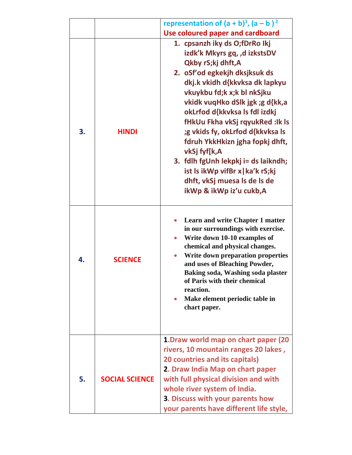|    |                       | representation of $(a + b)^2$ , $(a - b)^2$                                                                                                                                                                                                                                                                                                                                                                                                                                                                              |
|----|-----------------------|--------------------------------------------------------------------------------------------------------------------------------------------------------------------------------------------------------------------------------------------------------------------------------------------------------------------------------------------------------------------------------------------------------------------------------------------------------------------------------------------------------------------------|
|    |                       | <b>Use coloured paper and cardboard</b>                                                                                                                                                                                                                                                                                                                                                                                                                                                                                  |
| 3. | <b>HINDI</b>          | 1. cpsanzh iky ds O;fDrRo Ikj<br>izdk'k Mkyrs gq, ,d izkstsDV<br>Qkby rS;kj dhft,A<br>2. oSf'od egkekjh dksjksuk ds<br>dkj.k vkidh d{kkvksa dk lapkyu<br>vkuykbu fd;k x;k bl nkSjku<br>vkidk vuqHko dSlk jgk; g d{kk,a<br>okLrfod d{kkvksa ls fdl izdkj<br>fHkUu Fkha vkSj rqyukRed : Ik Is<br>;g vkids fy, okLrfod d{kkvksa ls<br>fdruh YkkHkizn jgha fopkj dhft,<br>vkSj fyf[k,A<br>3. fdlh fgUnh lekpkj i= ds laikndh;<br>ist Is ikWp vifBr x   ka'k rS;kj<br>dhft, vkSj muesa Is de Is de<br>ikWp & ikWp iz'u cukb,A |
| 4. | <b>SCIENCE</b>        | <b>Learn and write Chapter 1 matter</b><br>in our surroundings with exercise.<br>Write down 10-10 examples of<br>chemical and physical changes.<br>Write down preparation properties<br>and uses of Bleaching Powder,<br>Baking soda, Washing soda plaster<br>of Paris with their chemical<br>reaction.<br>Make element periodic table in<br>$\bullet$<br>chart paper.                                                                                                                                                   |
| 5. | <b>SOCIAL SCIENCE</b> | 1. Draw world map on chart paper (20<br>rivers, 10 mountain ranges 20 lakes,<br>20 countries and its capitals)<br>2. Draw India Map on chart paper<br>with full physical division and with<br>whole river system of India.<br>3. Discuss with your parents how<br>your parents have different life style,                                                                                                                                                                                                                |